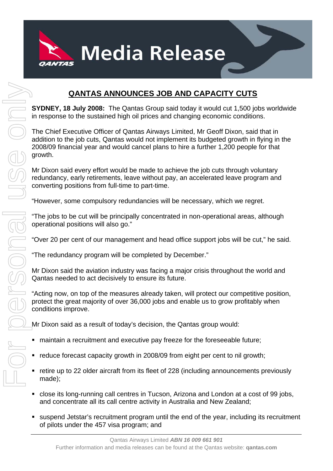

## **QANTAS ANNOUNCES JOB AND CAPACITY CUTS**

**SYDNEY, 18 July 2008:** The Qantas Group said today it would cut 1,500 jobs worldwide in response to the sustained high oil prices and changing economic conditions.

The Chief Executive Officer of Qantas Airways Limited, Mr Geoff Dixon, said that in addition to the job cuts, Qantas would not implement its budgeted growth in flying in the 2008/09 financial year and would cancel plans to hire a further 1,200 people for that growth.

Mr Dixon said every effort would be made to achieve the job cuts through voluntary redundancy, early retirements, leave without pay, an accelerated leave program and converting positions from full-time to part-time.

"However, some compulsory redundancies will be necessary, which we regret.

"The jobs to be cut will be principally concentrated in non-operational areas, although operational positions will also go."

"Over 20 per cent of our management and head office support jobs will be cut," he said.

"The redundancy program will be completed by December."

Mr Dixon said the aviation industry was facing a major crisis throughout the world and Qantas needed to act decisively to ensure its future.

"Acting now, on top of the measures already taken, will protect our competitive position, protect the great majority of over 36,000 jobs and enable us to grow profitably when conditions improve.

Mr Dixon said as a result of today's decision, the Qantas group would:

- maintain a recruitment and executive pay freeze for the foreseeable future;
- reduce forecast capacity growth in 2008/09 from eight per cent to nil growth;
- retire up to 22 older aircraft from its fleet of 228 (including announcements previously made);
- close its long-running call centres in Tucson, Arizona and London at a cost of 99 jobs, and concentrate all its call centre activity in Australia and New Zealand;
- suspend Jetstar's recruitment program until the end of the year, including its recruitment of pilots under the 457 visa program; and